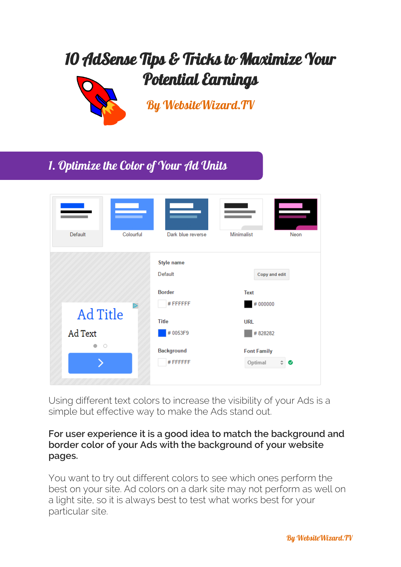# 10 AdSense Tips & Tricks to Maximize Your Potential Earnings



l<br>T

[By WebsiteWizard.TV](http://www.websitewizard.tv/adsense-pdf/author)

# 1. Optimize the Color of Your Ad Units

| Default         | Colourful | Dark blue reverse                      | <b>Minimalist</b><br>Neon               |
|-----------------|-----------|----------------------------------------|-----------------------------------------|
|                 |           | Style name<br>Default<br><b>Border</b> | Copy and edit<br><b>Text</b>            |
| <b>Ad Title</b> | D         | #FFFFFF<br><b>Title</b>                | #000000<br><b>URL</b>                   |
| Ad Text         |           | #0053F9                                | #828282                                 |
| $\circ$         |           | Background<br>#FFFFFFF                 | <b>Font Family</b><br>Optimal<br>÷<br>◙ |

Using different text colors to increase the visibility of your Ads is a simple but effective way to make the Ads stand out.

#### **For user experience it is a good idea to match the background and border color of your Ads with the background of your website pages.**

You want to try out different colors to see which ones perform the best on your site. Ad colors on a dark site may not perform as well on a light site, so it is always best to test what works best for your particular site.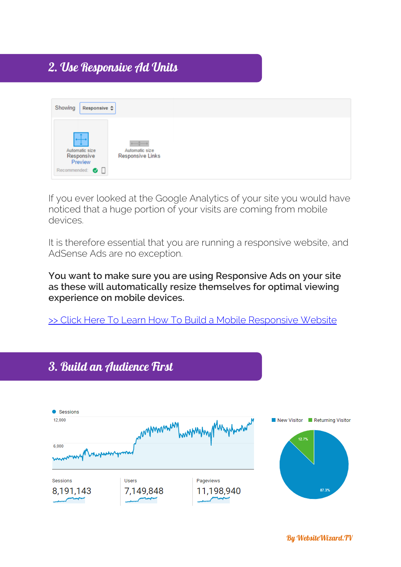# 2. Use Responsive Ad Units

| Showing<br>Responsive $\Leftrightarrow$                   |                                                                    |  |  |
|-----------------------------------------------------------|--------------------------------------------------------------------|--|--|
| Automatic size<br>Responsive<br>Preview<br>Recommended: O | $\longleftrightarrow$<br>Automatic size<br><b>Responsive Links</b> |  |  |

If you ever looked at the Google Analytics of your site you would have noticed that a huge portion of your visits are coming from mobile devices.

It is therefore essential that you are running a responsive website, and AdSense Ads are no exception.

**You want to make sure you are using Responsive Ads on your site as these will automatically resize themselves for optimal viewing experience on mobile devices.** 

[>> Click Here To Learn How To Build a Mobile Responsive](http://www.websitewizard.tv/adsense-pdf/responsive) Website

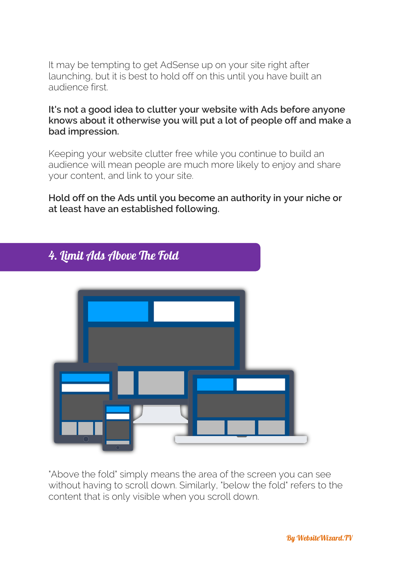It may be tempting to get AdSense up on your site right after launching, but it is best to hold off on this until you have built an audience first.

**It's not a good idea to clutter your website with Ads before anyone knows about it otherwise you will put a lot of people off and make a bad impression.**

Keeping your website clutter free while you continue to build an audience will mean people are much more likely to enjoy and share your content, and link to your site.

**Hold off on the Ads until you become an authority in your niche or at least have an established following.** 



"Above the fold" simply means the area of the screen you can see without having to scroll down. Similarly, "below the fold" refers to the content that is only visible when you scroll down.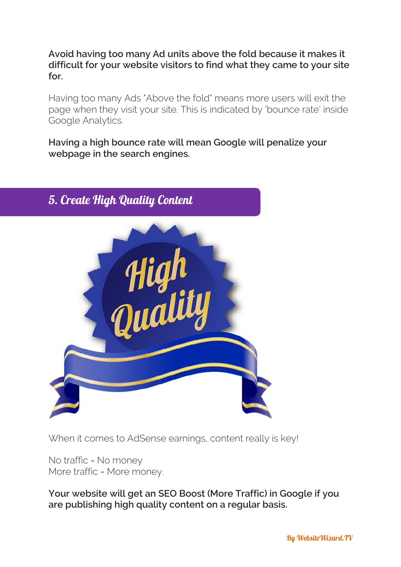**Avoid having too many Ad units above the fold because it makes it difficult for your website visitors to find what they came to your site for.**

Having too many Ads "Above the fold" means more users will exit the page when they visit your site. This is indicated by 'bounce rate' inside Google Analytics.

**Having a high bounce rate will mean Google will penalize your webpage in the search engines.**



When it comes to AdSense earnings, content really is key!

No traffic = No money More traffic = More money.

**Your website will get an SEO Boost (More Traffic) in Google if you are publishing high quality content on a regular basis.**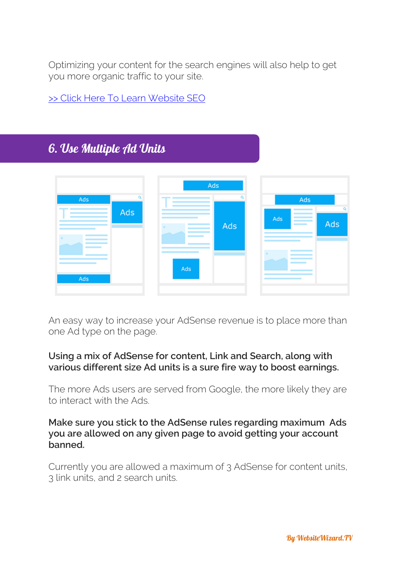Optimizing your content for the search engines will also help to get you more organic traffic to your site.

[>> Click Here To Learn](http://www.websitewizard.tv/adsense-pdf/seo) Website SEO

# 6. Use Multiple Ad Units

|                        | Ads |     |            |          |
|------------------------|-----|-----|------------|----------|
| o<br>Ads<br>Ads<br>Ads | Ads | Ads | Ads<br>Ads | ۹<br>Ads |

An easy way to increase your AdSense revenue is to place more than one Ad type on the page.

#### **Using a mix of AdSense for content, Link and Search, along with various different size Ad units is a sure fire way to boost earnings.**

The more Ads users are served from Google, the more likely they are to interact with the Ads.

#### **Make sure you stick to the AdSense rules regarding maximum Ads you are allowed on any given page to avoid getting your account banned.**

Currently you are allowed a maximum of 3 AdSense for content units, 3 link units, and 2 search units.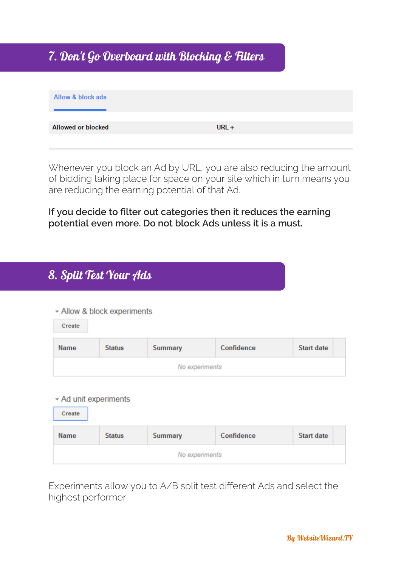### 7. Don't Go Overboard with Blocking & Filters

| Allow & block ads  |                |
|--------------------|----------------|
|                    |                |
| Allowed or blocked | URL $\uparrow$ |
|                    |                |

Whenever you block an Ad by URL, you are also reducing the amount of bidding taking place for space on your site which in turn means you are reducing the earning potential of that Ad.

**If you decide to filter out categories then it reduces the earning potential even more. Do not block Ads unless it is a must.** 

## 8. Split Test Your Ads

#### ▼ Allow & block experiments

| Create |               |                |            |            |
|--------|---------------|----------------|------------|------------|
| Name   | <b>Status</b> | Summary        | Confidence | Start date |
|        |               | No experiments |            |            |

#### ▼ Ad unit experiments

| Create         |               |                |            |                   |
|----------------|---------------|----------------|------------|-------------------|
| <b>Name</b>    | <b>Status</b> | <b>Summary</b> | Confidence | <b>Start date</b> |
| No experiments |               |                |            |                   |

Experiments allow you to A/B split test different Ads and select the highest performer.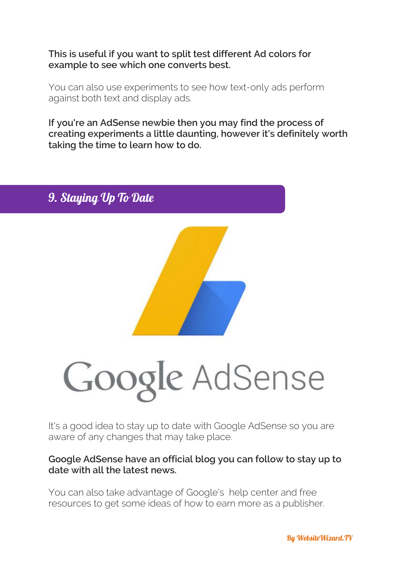**This is useful if you want to split test different Ad colors for example to see which one converts best.** 

You can also use experiments to see how text-only ads perform against both text and display ads.

**If you're an AdSense newbie then you may find the process of creating experiments a little daunting, however it's definitely worth taking the time to learn how to do.**



It's a good idea to stay up to date with Google AdSense so you are aware of any changes that may take place.

#### **Google AdSense have an official blog you can follow to stay up to date with all the latest news.**

You can also take advantage of Google's help center and free resources to get some ideas of how to earn more as a publisher.